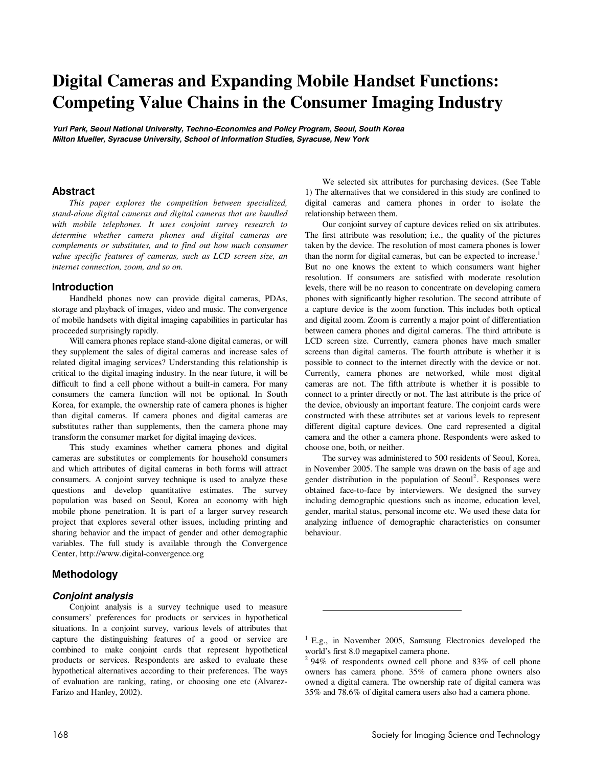# **Digital Cameras and Expanding Mobile Handset Functions: Competing Value Chains in the Consumer Imaging Industry**

**Yuri Park, Seoul National University, Techno-Economics and Policy Program, Seoul, South Korea Milton Mueller, Syracuse University, School of Information Studies, Syracuse, New York** 

#### **Abstract**

*This paper explores the competition between specialized, stand-alone digital cameras and digital cameras that are bundled with mobile telephones. It uses conjoint survey research to determine whether camera phones and digital cameras are complements or substitutes, and to find out how much consumer value specific features of cameras, such as LCD screen size, an internet connection, zoom, and so on.* 

#### **Introduction**

Handheld phones now can provide digital cameras, PDAs, storage and playback of images, video and music. The convergence of mobile handsets with digital imaging capabilities in particular has proceeded surprisingly rapidly.

Will camera phones replace stand-alone digital cameras, or will they supplement the sales of digital cameras and increase sales of related digital imaging services? Understanding this relationship is critical to the digital imaging industry. In the near future, it will be difficult to find a cell phone without a built-in camera. For many consumers the camera function will not be optional. In South Korea, for example, the ownership rate of camera phones is higher than digital cameras. If camera phones and digital cameras are substitutes rather than supplements, then the camera phone may transform the consumer market for digital imaging devices.

This study examines whether camera phones and digital cameras are substitutes or complements for household consumers and which attributes of digital cameras in both forms will attract consumers. A conjoint survey technique is used to analyze these questions and develop quantitative estimates. The survey population was based on Seoul, Korea an economy with high mobile phone penetration. It is part of a larger survey research project that explores several other issues, including printing and sharing behavior and the impact of gender and other demographic variables. The full study is available through the Convergence Center, http://www.digital-convergence.org

## **Methodology**

### **Conjoint analysis**

Conjoint analysis is a survey technique used to measure consumers' preferences for products or services in hypothetical situations. In a conjoint survey, various levels of attributes that capture the distinguishing features of a good or service are combined to make conjoint cards that represent hypothetical products or services. Respondents are asked to evaluate these hypothetical alternatives according to their preferences. The ways of evaluation are ranking, rating, or choosing one etc (Alvarez-Farizo and Hanley, 2002).

We selected six attributes for purchasing devices. (See Table 1) The alternatives that we considered in this study are confined to digital cameras and camera phones in order to isolate the relationship between them.

Our conjoint survey of capture devices relied on six attributes. The first attribute was resolution; i.e., the quality of the pictures taken by the device. The resolution of most camera phones is lower than the norm for digital cameras, but can be expected to increase.<sup>1</sup> But no one knows the extent to which consumers want higher resolution. If consumers are satisfied with moderate resolution levels, there will be no reason to concentrate on developing camera phones with significantly higher resolution. The second attribute of a capture device is the zoom function. This includes both optical and digital zoom. Zoom is currently a major point of differentiation between camera phones and digital cameras. The third attribute is LCD screen size. Currently, camera phones have much smaller screens than digital cameras. The fourth attribute is whether it is possible to connect to the internet directly with the device or not. Currently, camera phones are networked, while most digital cameras are not. The fifth attribute is whether it is possible to connect to a printer directly or not. The last attribute is the price of the device, obviously an important feature. The conjoint cards were constructed with these attributes set at various levels to represent different digital capture devices. One card represented a digital camera and the other a camera phone. Respondents were asked to choose one, both, or neither.

The survey was administered to 500 residents of Seoul, Korea, in November 2005. The sample was drawn on the basis of age and gender distribution in the population of Seoul<sup>2</sup>. Responses were obtained face-to-face by interviewers. We designed the survey including demographic questions such as income, education level, gender, marital status, personal income etc. We used these data for analyzing influence of demographic characteristics on consumer behaviour.

 $\overline{a}$ 

 $1$  E.g., in November 2005, Samsung Electronics developed the world's first 8.0 megapixel camera phone.

<sup>2</sup> 94% of respondents owned cell phone and 83% of cell phone owners has camera phone. 35% of camera phone owners also owned a digital camera. The ownership rate of digital camera was 35% and 78.6% of digital camera users also had a camera phone.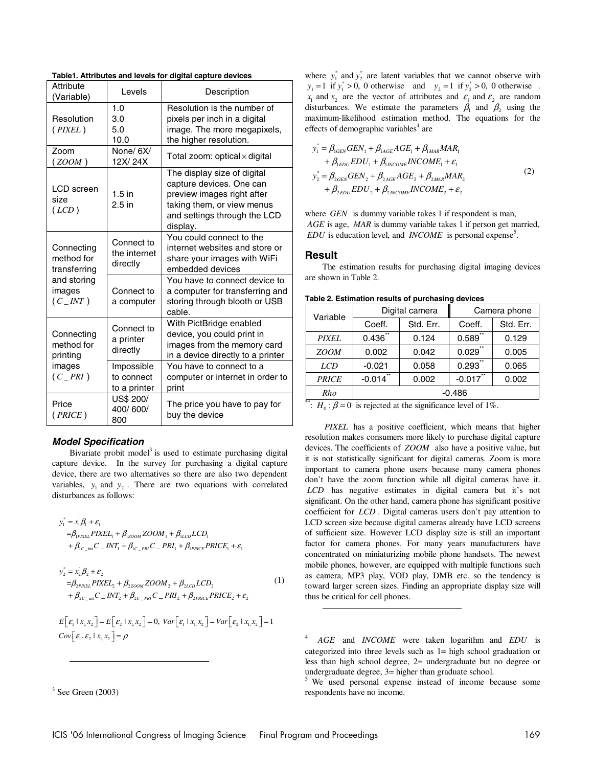| Attribute<br>(Variable)                                                        | Levels                                   | Description                                                                                                                                                     |  |
|--------------------------------------------------------------------------------|------------------------------------------|-----------------------------------------------------------------------------------------------------------------------------------------------------------------|--|
| Resolution<br>$($ <i>PIXEL</i> $)$                                             | 1.0<br>3.0<br>5.0<br>10.0                | Resolution is the number of<br>pixels per inch in a digital<br>image. The more megapixels,<br>the higher resolution.                                            |  |
| Zoom<br>(200M)                                                                 | None/6X/<br>12X/24X                      | Total zoom: optical $\times$ digital                                                                                                                            |  |
| LCD screen<br>size<br>(LCD)                                                    | $1.5$ in<br>$2.5$ in                     | The display size of digital<br>capture devices. One can<br>preview images right after<br>taking them, or view menus<br>and settings through the LCD<br>display. |  |
| Connecting<br>method for<br>transferring<br>and storing<br>images<br>$(C_INT)$ | Connect to<br>the internet<br>directly   | You could connect to the<br>internet websites and store or<br>share your images with WiFi<br>embedded devices                                                   |  |
|                                                                                | Connect to<br>a computer                 | You have to connect device to<br>a computer for transferring and<br>storing through blooth or USB<br>cable.                                                     |  |
| Connecting<br>method for<br>printing<br>images<br>$(C$ $PRI)$                  | Connect to<br>a printer<br>directly      | With PictBridge enabled<br>device, you could print in<br>images from the memory card<br>in a device directly to a printer                                       |  |
|                                                                                | Impossible<br>to connect<br>to a printer | You have to connect to a<br>computer or internet in order to<br>print                                                                                           |  |
| Price<br>(PRICE)                                                               | US\$ 200/<br>400/600/<br>800             | The price you have to pay for<br>buy the device                                                                                                                 |  |

**Table1. Attributes and levels for digital capture devices** 

#### **Model Specification**

Bivariate probit model<sup>3</sup> is used to estimate purchasing digital capture device. In the survey for purchasing a digital capture device, there are two alternatives so there are also two dependent variables,  $y_1$  and  $y_2$ . There are two equations with correlated disturbances as follows:

$$
y_{1}^{*} = x_{1}^{'}\beta_{1} + \varepsilon_{1}
$$
  
=  $\beta_{1PIXEL}PIXEL_{1} + \beta_{1ZOM}ZOOM_{1} + \beta_{1LCD}LCD_{1}$   
+  $\beta_{1C_{\text{min}}}C_{\text{min}}T_{1} + \beta_{1C_{\text{max}}}C_{\text{max}}T_{1} + \beta_{1PRICE}PRICE_{1} + \varepsilon_{1}$ 

$$
y_2^* = x_2 \beta_2 + \varepsilon_2
$$
  
=  $\beta_{2PIXEL} PIXEL_2 + \beta_{2ZOM} ZOOM_2 + \beta_{2LCD} LCD_2$   
+  $\beta_{2C\_int} C_2 INT_2 + \beta_{2C\_PRI} C_- PRI_2 + \beta_{2PRICE} PRICE_2 + \varepsilon_2$  (1)

 $E\left[\varepsilon_1 \mid x_1, x_2\right] = E\left[\varepsilon_2 \mid x_1, x_2\right] = 0$ ,  $Var\left[\varepsilon_1 \mid x_1, x_2\right] = Var\left[\varepsilon_2 \mid x_1, x_2\right] = 1$  $Cov\left[\varepsilon_1,\varepsilon_2 \mid x_1, x_2\right] = \rho$ 

 $3$  See Green (2003)

-

where  $y_1^*$  and  $y_2^*$  are latent variables that we cannot observe with  $y_1 = 1$  if  $y_2^* > 0$ ,  $\Omega$  otherwise  $y_1 = 1$  if  $y_1^* > 0$ , 0 otherwise and  $y_2 = 1$  if  $y_2^* > 0$ , 0 otherwise.  $x_1$  and  $x_2$  are the vector of attributes and  $\varepsilon_1$  and  $\varepsilon_2$  are random disturbances. We estimate the parameters  $\beta_1$  and  $\beta_2$  using the maximum-likelihood estimation method. The equations for the effects of demographic variables<sup>4</sup> are

$$
y_1^* = \beta_{1GEN}GEN_1 + \beta_{1AGE}AGE_1 + \beta_{1MAR} MAR_1
$$
  
+  $\beta_{1EDU} EDU_1 + \beta_{1INCOME} INCOME_1 + \varepsilon_1$   

$$
y_2^* = \beta_{2GEN} GEN_2 + \beta_{2AGE}AGE_2 + \beta_{2MAR} MAR_2
$$
  
+  $\beta_{2EDU} EDU_2 + \beta_{2INCOME} INCOME_2 + \varepsilon_2$  (2)

where *GEN* is dummy variable takes 1 if respondent is man, *AGE* is age, *MAR* is dummy variable takes 1 if person get married,  $EDU$  is education level, and *INCOME* is personal expense<sup>5</sup>.

#### **Result**

 $\overline{a}$ 

The estimation results for purchasing digital imaging devices are shown in Table 2.

| Variable     | Digital camera          |           | Camera phone   |           |  |  |
|--------------|-------------------------|-----------|----------------|-----------|--|--|
|              | Coeff.                  | Std. Err. | Coeff.         | Std. Err. |  |  |
| <b>PIXEL</b> | $***$<br>$0.436^{^{*}}$ | 0.124     | $***$<br>0.589 | 0.129     |  |  |
| <b>ZOOM</b>  | 0.002                   | 0.042     | 0.029          | 0.005     |  |  |
| LCD          | $-0.021$                | 0.058     | $***$<br>0.293 | 0.065     |  |  |
| <b>PRICE</b> | $***$<br>$-0.014$       | 0.002     | **<br>$-0.017$ | 0.002     |  |  |
| Rho          | $-0.486$                |           |                |           |  |  |
| sk.          |                         |           |                |           |  |  |

**Table 2. Estimation results of purchasing devices** 

:  $H_0$ :  $\beta = 0$  is rejected at the significance level of 1%.

*PIXEL* has a positive coefficient, which means that higher resolution makes consumers more likely to purchase digital capture devices. The coefficients of *ZOOM* also have a positive value, but it is not statistically significant for digital cameras. Zoom is more important to camera phone users because many camera phones don't have the zoom function while all digital cameras have it. *LCD* has negative estimates in digital camera but it's not significant. On the other hand, camera phone has significant positive coefficient for *LCD* . Digital cameras users don't pay attention to LCD screen size because digital cameras already have LCD screens of sufficient size. However LCD display size is still an important factor for camera phones. For many years manufacturers have concentrated on miniaturizing mobile phone handsets. The newest mobile phones, however, are equipped with multiple functions such as camera, MP3 play, VOD play, DMB etc. so the tendency is toward larger screen sizes. Finding an appropriate display size will thus be critical for cell phones.

<sup>4</sup> *AGE* and *INCOME* were taken logarithm and *EDU* is categorized into three levels such as 1= high school graduation or less than high school degree, 2= undergraduate but no degree or undergraduate degree, 3= higher than graduate school.

<sup>5</sup> We used personal expense instead of income because some respondents have no income.